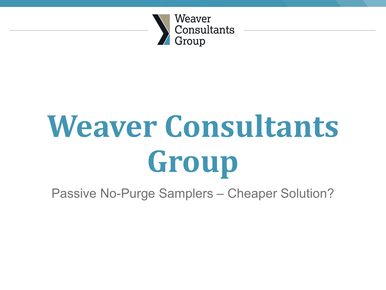

# Weaver Consultants **Group**

Passive No-Purge Samplers – Cheaper Solution?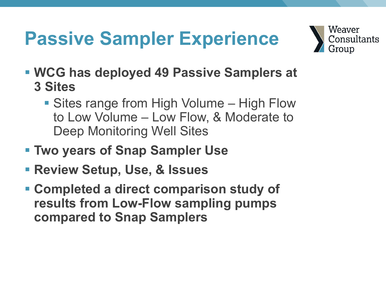## **Passive Sampler Experience**



- § **WCG has deployed 49 Passive Samplers at 3 Sites**
	- Sites range from High Volume High Flow to Low Volume – Low Flow, & Moderate to Deep Monitoring Well Sites
- § **Two years of Snap Sampler Use**
- § **Review Setup, Use, & Issues**
- § **Completed a direct comparison study of results from Low-Flow sampling pumps compared to Snap Samplers**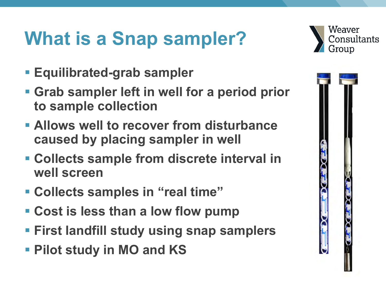# **What is a Snap sampler?**

- § **Equilibrated-grab sampler**
- § **Grab sampler left in well for a period prior to sample collection**
- § **Allows well to recover from disturbance caused by placing sampler in well**
- § **Collects sample from discrete interval in well screen**
- § **Collects samples in "real time"**
- § **Cost is less than a low flow pump**
- § **First landfill study using snap samplers**
- § **Pilot study in MO and KS**



ш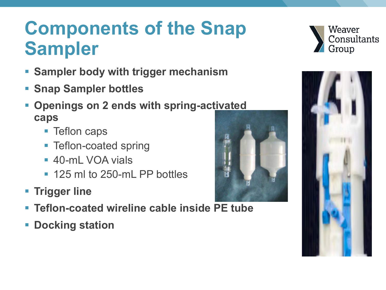# **Components of the Snap Sampler**

- § **Sampler body with trigger mechanism**
- § **Snap Sampler bottles**
- § **Openings on 2 ends with spring-activated caps**
	- Teflon caps
	- Teflon-coated spring
	- 40-mL VOA vials
	- 125 ml to 250-mL PP bottles
- § **Trigger line**
- § **Teflon-coated wireline cable inside PE tube**
- § **Docking station**





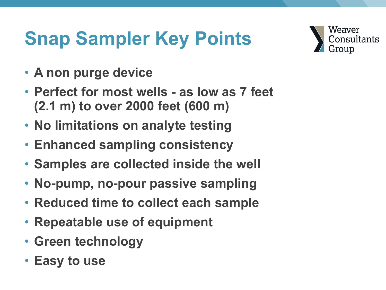# **Snap Sampler Key Points**



- **A non purge device**
- **Perfect for most wells - as low as 7 feet (2.1 m) to over 2000 feet (600 m)**
- **No limitations on analyte testing**
- **Enhanced sampling consistency**
- **Samples are collected inside the well**
- **No-pump, no-pour passive sampling**
- **Reduced time to collect each sample**
- **Repeatable use of equipment**
- **Green technology**
- **Easy to use**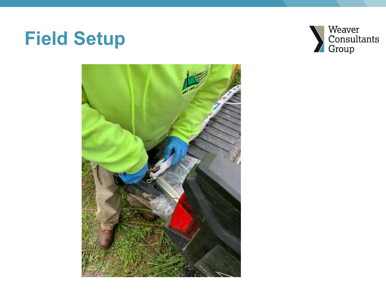#### **Field Setup**



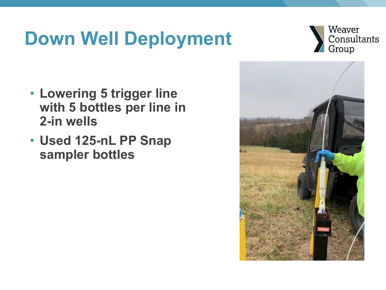# **Down Well Deployment**



- **Lowering 5 trigger line with 5 bottles per line in 2-in wells**
- **Used 125-nL PP Snap sampler bottles**

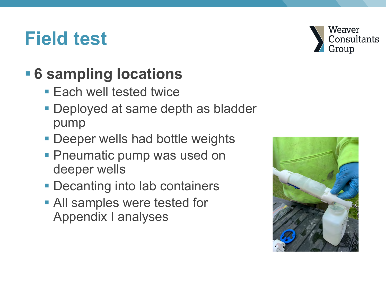# **Field test**

#### § **6 sampling locations**

- Each well tested twice
- Deployed at same depth as bladder pump
- **Deeper wells had bottle weights**
- **Pneumatic pump was used on** deeper wells
- Decanting into lab containers
- All samples were tested for Appendix I analyses



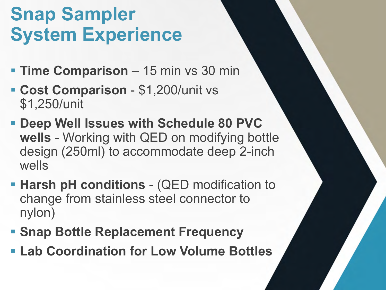## **Snap Sampler System Experience**

- § **Time Comparison**  15 min vs 30 min
- § **Cost Comparison**  \$1,200/unit vs \$1,250/unit
- § **Deep Well Issues with Schedule 80 PVC wells** - Working with QED on modifying bottle design (250ml) to accommodate deep 2-inch wells
- Harsh pH conditions (QED modification to change from stainless steel connector to nylon)
- § **Snap Bottle Replacement Frequency**
- § **Lab Coordination for Low Volume Bottles**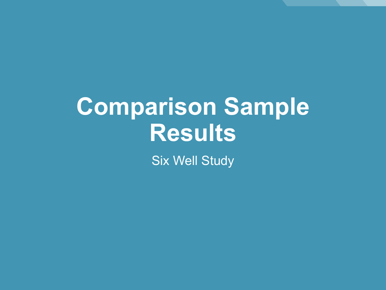# **Comparison Sample Results**

**Six Well Study**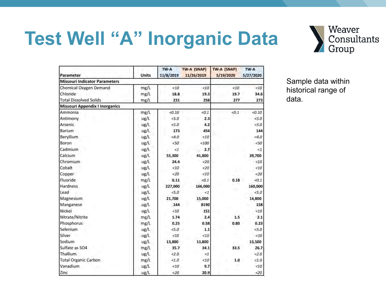#### **Test Well "A" Inorganic Data**



| Parameter                             | Units         | TW-A<br>11/8/2019 | TW-A (SNAP)<br>11/26/2019 | TW-A (SNAP)<br>5/19/2020 | TW-A<br>5/27/2020 |
|---------------------------------------|---------------|-------------------|---------------------------|--------------------------|-------------------|
| <b>Missouri Indicator Parameters</b>  |               |                   |                           |                          |                   |
| Chemical Oxygen Demand                | mg/L          | < 10              | <10                       | $10^{-1}$                | $10^{-1}$         |
| Chloride                              | mg/L          | 18.8              | 19.3                      | 19.7                     | 34.6              |
| <b>Total Dissolved Solids</b>         | mg/L          | 231               | 258                       | 277                      | 273               |
| <b>Missouri Appendix I Inorganics</b> |               |                   |                           |                          |                   |
| Ammonia                               | mg/L          | < 0.10            | < 0.1                     | < 0.1                    | < 0.10            |
| Antimony                              | ug/L          | 5.0               | 2.3                       |                          | 5.0               |
| Arsenic                               | ug/L          | 5.0               | 4.2                       |                          | 5.0               |
| Barium                                | ug/L          | 173               | 454                       |                          | 144               |
| Beryllium                             | ug/L          | <4.0              | <10                       |                          | <4.0              |
| <b>Boron</b>                          | ug/L          | 50                | 100                       |                          | 50<               |
| Cadmium                               | ug/L          | $\leq 1$          | 2.7                       |                          | $\leq 1$          |
| Calcium                               | ug/L          | 55,300            | 41,800                    |                          | 39,700            |
| Chromium                              | ug/L          | 24.4              | $20$                      |                          | <10               |
| Cobalt                                | ug/L          | <10               | 20                        |                          | < 10              |
| Copper                                | ug/L          | $20$              | < 10                      |                          | $20$              |
| Fluoride                              | mg/L          | 0.11              | 0.1                       | 0.18                     | < 0.1             |
| Hardness                              | ug/L          | 227,000           | 166,000                   |                          | 160,000           |
| Lead                                  | ug/L          | 5.0               | $\leq$ 1                  |                          | 5.0               |
| Magnesium                             | ug/L          | 21,700            | 15,000                    |                          | 14,800            |
| Manganese                             | ug/L          | 144               | 8190                      |                          | 158               |
| Nickel.                               | ug/L          | < 10              | 151                       |                          | <10               |
| Nitrate/Nitrite                       | mg/L          | 1.74              | 2.4                       | 1.5                      | 2.1               |
| Phosphorus                            | mg/L          | 0.25              | 0.58                      | 0.80                     | 0.23              |
| Selenium                              | ug/L          | 5.0               | 1.1                       |                          | 5.0               |
| Silver                                | ug/L          | <10               | <10                       |                          | < 10              |
| Sodium                                | ug/L          | 13,800            | 13,800                    |                          | 13,500            |
| Sulfate as SO4                        | mg/L          | 35.7              | 34.1                      | 33.5                     | 26.7              |
| Thallium                              | ug/L          | 2.0               | $\leq$ 1                  |                          | 2.0               |
| <b>Total Organic Carbon</b>           | mg/L          | < 1.0             | <10                       | 1.0                      | <1.0              |
| Vanadium                              | ug/L          | < 10              | 9.7                       |                          | $10^{-7}$         |
| 7inc                                  | $\frac{1}{2}$ | 20                | 20 Q                      |                          | 200               |

Sample data within historical range of data.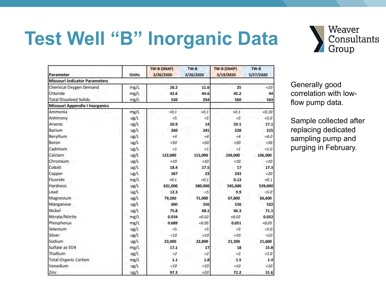#### **Test Well "B" Inorganic Data**



|                                       |              | TW-B (SNAP) | $TW-B$    | TW-B (SNAP) | TW-B      |
|---------------------------------------|--------------|-------------|-----------|-------------|-----------|
| Parameter                             | <b>Units</b> | 2/26/2020   | 2/26/2020 | 5/19/2020   | 5/27/2020 |
| <b>Missouri Indicator Parameters</b>  |              |             |           |             |           |
| Chemical Oxygen Demand                | mg/L         | 26.2        | 11.6      | 25          | < 10      |
| Chloride                              | mg/L         | 42.6        | 44.6      | 45.2        | 44        |
| <b>Total Dissolved Solids</b>         | mg/L         | 520         | 554       | 560         | 563       |
| <b>Missouri Appendix I Inorganics</b> |              |             |           |             |           |
| Ammonia                               | mg/L         | < 0.1       | < 0.1     | < 0.1       | < 0.10    |
| Antimony                              | ug/L         | 5           | 5         | 5<          | 5.0       |
| Arsenic                               | ug/L         | 26.9        | 14        | 29.1        | 17.1      |
| Barium                                | ug/L         | 260         | 241       | 228         | 215       |
| Beryllium                             | ug/L         | <4          | $\ll$     | $\langle 4$ | <4.0      |
| Boron                                 | ug/L         | 50          | 50        | 50          | 50        |
| Cadmium                               | ug/L         | $\leq 1$    | $\leq$ 1  | $\leq$ 1    | < 1.0     |
| Calcium                               | ug/L         | 122,000     | 115,000   | 106,000     | 106,000   |
| Chromium                              | ug/L         | $10^{-1}$   | < 10      | < 10        | <10       |
| Cobalt                                | ug/L         | 18.4        | 17.5      | 17          | 17.3      |
| Copper                                | ug/L         | 367         | 23        | 243         | 20        |
| Fluoride                              | mg/L         | < 0.1       | < 0.1     | 0.13        | < 0.1     |
| <b>Hardness</b>                       | ug/L         | 631,000     | 580,000   | 545,000     | 539,000   |
| Lead                                  | ug/L         | 12.3        | $\leq$    | 9.9         | 5.0       |
| Magnesium                             | ug/L         | 79,200      | 71,000    | 67,800      | 66,600    |
| Manganese                             | ug/L         | 600         | 556       | 526         | 522       |
| Nickel                                | ug/L         | 75.8        | 68.1      | 66.3        | 71.1      |
| Nitrate/Nitrite                       | mg/L         | 0.034       | <0.02     | < 0.02      | 0.032     |
| Phosphorus                            | mg/L         | 0.089       | < 0.05    | 0.051       | < 0.05    |
| Selenium                              | ug/L         | < 5         | 5         | 5           | 5.0       |
| Silver                                | ug/L         | $10^{-7}$   | < 10      | <10         | <10       |
| Sodium                                | ug/L         | 23,000      | 22,800    | 21,300      | 21,600    |
| Sulfate as SO4                        | mg/L         | 17.1        | 17        | 18          | 15.8      |
| Thallium                              | ug/L         | $2$         | $2$       | $\langle$ 2 | 2.0       |
| <b>Total Organic Carbon</b>           | mg/L         | 1.1         | 1.8       | 1.5         | 1.4       |
| Vanadium                              | ug/L         | < 10        | <10       | <10         | <10       |
| Zinc                                  | ue/L         | 97.3        | 20        | 72.2        | 31.6      |

Generally good correlation with lowflow pump data.

Sample collected after replacing dedicated sampling pump and purging in February.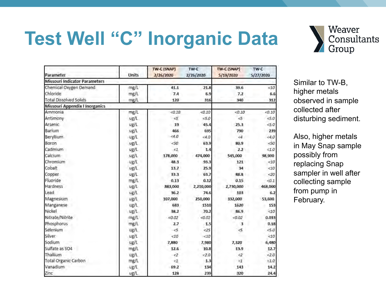#### **Test Well "C" Inorganic Data**



|                                       |              | TW-C (SNAP)       | TW-C      | TW-C (SNAP)    | TW-C       |
|---------------------------------------|--------------|-------------------|-----------|----------------|------------|
| Parameter                             | <b>Units</b> | 2/26/2020         | 2/26/2020 | 5/19/2020      | 5/27/2020  |
| Missouri Indicator Parameters         |              |                   |           |                |            |
| Chemical Oxygen Demand                | mg/L         | 41.1              | 21.8      | 39.6           | <10        |
| Chloride                              | mg/L         | 7.4               | 6.9       | 7.2            | 6.6        |
| <b>Total Dissolved Solids</b>         | mg/L         | 120               | 316       | 340            | 312        |
| <b>Missouri Appendix I Inorganics</b> |              |                   |           |                |            |
| Ammonia                               | mg/L         | < 0.10            | < 0.10    | < 0.10         | $-0.10$    |
| Antimony                              | ug/L         | 55                | 50        | $5 -$          | < 5.0      |
| Arsenic                               | ug/L         | 19                | 45.4      | 25.3           | 5.0        |
| Barium                                | ug/L         | 466               | 695       | 790            | 239        |
| Beryllium                             | ug/L         | $-4.0$            | 4.0       | 44             | $40 -$     |
| Boron                                 | ug/L         | 50                | 63.9      | 80.9           | $50$       |
| Cadmium                               | ug/L         | <1                | 1.4       | 2.2            | < 1.0      |
| Calcium                               | ug/L         | 178,000           | 474,000   | 545,000        | 98,900     |
| Chromium                              | ug/L         | 48.3              | 93.3      | 121            | < 10       |
| Cobalt                                | ug/L         | 13.7              | 25.9      | 34             | <10        |
| Copper                                | ug/L         | 33.3              | 63.7      | 88.8           | 20         |
| Fluoride                              | mg/L         | 0.13              | 0.12      | 0.15           | < 0.1      |
| Hardness                              | ug/L         | 883,000           | 2,210,000 | 2,730,000      | 468,000    |
| Lead                                  | ug/L         | 36.2              | 74.6      | 103            | 6.2        |
| Magnesium                             | ug/L         | 107,000           | 250,000   | 332,000        | 53,600     |
| Manganese                             | ug/L         | 683               | 1510      | 1620           | 153        |
| Nickel                                | ug/L         | 38.2              | 70.2      | 86.9           | < 10       |
| Nitrate/Nitrite                       | mg/L         | < 0.02            | < 0.02    | < 0.02         | 0.033      |
| Phosphorus                            | mg/L         | 2.7               | 1.5       | 3              | 0.18       |
| Selenium                              | ug/L         | $\leq$            | 25        | 45             | 5.0        |
| Silver                                | ug/L         | 10                | <10       |                | <10        |
| Sodium                                | ug/L         | 7,880             | 7,980     | 7,320          | 6,480      |
| Sulfate as SO4                        | mg/L         | 12.6              | 10.8      | 13.9           | 12.7       |
| Thallium                              | ug/L         | $\mathcal{L}_{2}$ | 20        | 2 <sup>2</sup> | 2.0        |
| Total Organic Carbon                  | mg/L         | $\leq$            | 1.3       |                | < 1.0      |
| Vanadium                              | ug/L         | 69.2              | 134       | 143            | 14.2       |
| <b>Zinc.</b>                          | 1107/1       | 139               | 330       | 220            | <b>9AA</b> |

Similar to TW-B, higher metals observed in sample collected after disturbing sediment.

Also, higher metals in May Snap sample possibly from replacing Snap sampler in well after collecting sample from pump in February.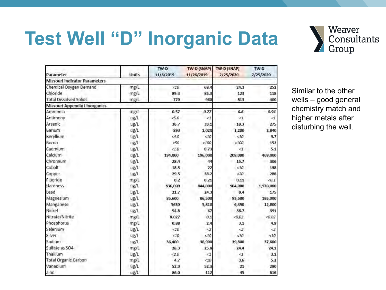#### **Test Well "D" Inorganic Data**



|                                       |             | TW-D      | TW-D (SNAP) | TW-D (SNAP)          | TW-D      |
|---------------------------------------|-------------|-----------|-------------|----------------------|-----------|
| Parameter                             | Units       | 11/8/2019 | 11/26/2019  | 2/25/2020            | 2/25/2020 |
| <b>Missouri Indicator Parameters</b>  |             |           |             |                      |           |
| Chemical Oxygen Demand                | mg/L        | 10        | 68.4        | 24,3                 | 251       |
| Chloride                              | mg/L        | 89.3      | 85.3        | 123                  | 118       |
| <b>Total Dissolved Solids</b>         | mg/L        | 770       | 980         | 813                  | 400       |
| <b>Missouri Appendix I Inorganics</b> |             |           |             |                      |           |
| Ammonia                               | mg/L        | 0.57      | 0.77        | $0.6^{\circ}$        | 0.94      |
| Antimony                              | ug/L        | 5.0       | $\leq$ 1    | $<1$                 | $\leq$ 1  |
| Arsenic                               | ug/L        | 36.7      | 33.1        | 19.3                 | 275       |
| Barium                                | ug/L        | 893       | 1,020       | 1,200                | 2,840     |
| Beryllium                             | ug/L        | 40        | &10         | <10                  | 9.7       |
| Boron                                 | ug/L        | 50        | <100        | < 100                | 152       |
| Cadmium                               | ug/L        | 510       | 0.73        | $\leq$               | 5.1       |
| Calcium                               | ug/L        | 194,000   | 196,000     | 208,000              | 469,000   |
| Chromium                              | ug/L        | 28.4      | 44          | 15.7                 | 306       |
| Cobalt                                | ug/L        | 18.5      | 22          | < 10                 | 138       |
| Copper                                | ug/L        | 29.5      | 38.2        | 20                   | 288       |
| Fluoride                              | mg/L        | 0.2       | 0.21        | 0.11                 | 0.1       |
| Hardness                              | ug/L        | 836,000   | 844,000     | 904,000              | 1,970,000 |
| Lead                                  | ug/L        | 21.7      | 24.3        | 8.4                  | 175       |
| Magnesium                             | ug/L        | 85,600    | 86,500      | 93,500               | 195,000   |
| Manganese                             | ug/L        | 5650      | 5,810       | 6,390                | 12,800    |
| Nickel                                | ug/L        | 54.8      | 67          | 38.7                 | 391       |
| Nitrate/Nitrite                       | mg/L        | 0.027     | 0.1         | <0.02                | < 0.02    |
| Phosphorus                            | mg/L        | 0.88      | 2.4         | 3.1                  | 4.9       |
| Selenium                              | ug/L        | <10       | $\langle$ 2 | $\leq$               | $\leq$    |
| Silver                                | ug/L        | < 10      | <10         | <10                  | 10        |
| Sodium                                | ug/L        | 36,400    | 36,900      | 39,800               | 37,600    |
| Sulfate as SO4                        | mg/L        | 28.3      | 25.8        | 24.4                 | 24.1      |
| Thallium                              | ug/L        | 2.0       | $\langle 1$ | $\leq$ $\mathcal{I}$ | 3.1       |
| Total Organic Carbon                  | mg/L        | 4.7       | <10         | 3.6                  | 5.2       |
| Vanadium                              | ug/L        | 52.3      | 52.3        | 21                   | 280       |
| Zinc                                  | $u\sigma/l$ | 86.0      | 112         | 45                   | 816       |

Similar to the other wells – good general chemistry match and higher metals after disturbing the well.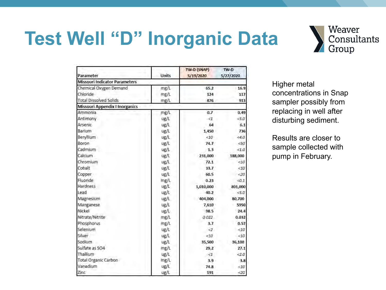#### **Test Well "D" Inorganic Data**



|                                       |       | TW-D (SNAP) | TW-D      |
|---------------------------------------|-------|-------------|-----------|
| Parameter                             | Units | 5/19/2020   | 5/27/2020 |
| <b>Missouri Indicator Parameters</b>  |       |             |           |
| Chemical Oxygen Demand                | mg/L  | 65.2        | 16.9      |
| Chloride                              | mg/L  | 124         | 117       |
| <b>Total Dissolved Solids</b>         | mg/L  | 876         | 913       |
| <b>Missouri Appendix I Inorganics</b> |       |             |           |
| Ammonia                               | mg/L  | 0.7         | 0.49      |
| Antimony                              | ug/L  | $\leq$ 1    | 5.0       |
| Arsenic                               | ug/L  | 64          | 6.1       |
| Barium                                | ug/L  | 1,450       | 736       |
| Beryllium                             | ug/L  | <10         | 40        |
| Boron                                 | ug/L  | 74.7        | 50        |
| Cadmium                               | ug/L  | 1.3         | <1.0      |
| Calcium                               | ug/L  | 231,000     | 188,000   |
| Chromium                              | ug/L  | 72.1        | < 10      |
| Cobalt                                | ug/L  | 33.7        | < 10      |
| Copper                                | ug/L  | 60.5        | $20$      |
| Fluoride                              | mg/L  | 0.23        | 0.1       |
| Hardness                              | ug/L  | 1,010,000   | 801,000   |
| Lead                                  | ug/L  | 40.2        | 50        |
| Magnesium                             | ug/L  | 404,000     | 80,700    |
| Manganese                             | ug/L  | 7,610       | 5950      |
| Nickel                                | ug/L  | 98.5        | 24.4      |
| Nitrate/Nitrite                       | mg/L  | 0.022       | 0.032     |
| <b>Phosphorus</b>                     | mg/L  | 3.7         | 0.57      |
| Selenium                              | ug/L  | $\leq$      | <10       |
| Silver                                | ug/L  | <10         | <10       |
| Sodium                                | ug/L  | 35,500      | 36,100    |
| Sulfate as SO4                        | mg/L  | 29.2        | 27.1      |
| Thallium                              | ug/L  | $\leq$ 1    | 20        |
| <b>Total Organic Carbon</b>           | mg/L  | 3.9         | 3.8       |
| Vanadium                              | ug/L  | 74.8        | <10       |
| Zinc                                  | ug/L  | 191         | 20        |

Higher metal concentrations in Snap sampler possibly from replacing in well after disturbing sediment.

Results are closer to sample collected with pump in February.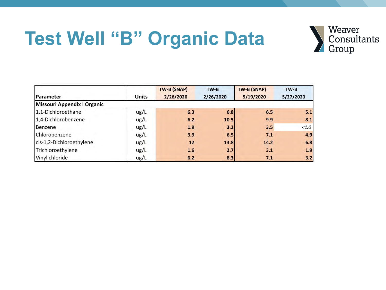#### **Test Well "B" Organic Data**



|                             |              | TW-B (SNAP) | TW-B      | TW-B (SNAP) | TW-B      |
|-----------------------------|--------------|-------------|-----------|-------------|-----------|
| Parameter                   | <b>Units</b> | 2/26/2020   | 2/26/2020 | 5/19/2020   | 5/27/2020 |
| Missouri Appendix I Organic |              |             |           |             |           |
| 1,1-Dichloroethane          | ug/L         | 6.3         | 6.8       | 6.5         | 5.1       |
| 1,4-Dichlorobenzene         | ug/L         | 6.2         | 10.5      | 9.9         | 8.1       |
| Benzene                     | ug/L         | 1.9         | 3.2       | 3.5         | < 1.0     |
| Chlorobenzene               | ug/L         | 3.9         | 6.5       | 7.1         | 4.9       |
| cis-1,2-Dichloroethylene    | ug/L         | 12          | 13.8      | 14.2        | 6.8       |
| Trichloroethylene           | ug/L         | 1.6         | 2.7       | 3.1         | 1.9       |
| Vinyl chloride              | ug/L         | 6.2         | 8.3       | 7.1         | 3.2       |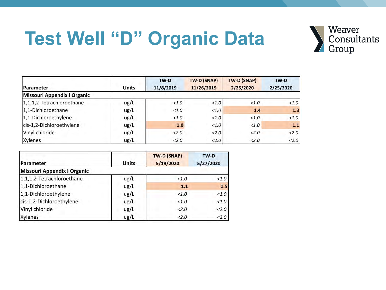## **Test Well "D" Organic Data**



|                                    |              | TW-D      | TW-D (SNAP) | TW-D (SNAP) | TW-D      |
|------------------------------------|--------------|-----------|-------------|-------------|-----------|
| <b>Parameter</b>                   | <b>Units</b> | 11/8/2019 | 11/26/2019  | 2/25/2020   | 2/25/2020 |
| <b>Missouri Appendix I Organic</b> |              |           |             |             |           |
| 1,1,1,2-Tetrachloroethane          | ug/L         | < 1.0     | < 1.0       | < 1.0       | < 1.0     |
| 1,1-Dichloroethane                 | ug/L         | < 1.0     | < 1.0       | 1.4         | 1.3       |
| 1,1-Dichloroethylene               | ug/L         | < 1.0     | < 1.0       | < 1.0       | < 1.0     |
| cis-1,2-Dichloroethylene           | ug/L         | 1.0       | < 1.0       | < 1.0       | 1.1       |
| Vinyl chloride                     | ug/L         | 2.0       | 2.0         | 2.0         | 2.0       |
| Xylenes                            | ug/L         | 2.0       | 2.0         | 2.0         | 2.0       |

| Parameter                          | Units | TW-D (SNAP)<br>5/19/2020 | TW-D<br>5/27/2020 |  |
|------------------------------------|-------|--------------------------|-------------------|--|
| <b>Missouri Appendix I Organic</b> |       |                          |                   |  |
| 1,1,1,2-Tetrachloroethane          | ug/L  | < 1.0                    | < 1.0             |  |
| 1,1-Dichloroethane                 | ug/L  | 1.1                      | 1.5               |  |
| 1,1-Dichloroethylene               | ug/L  | < 1.0                    | 1.0               |  |
| cis-1,2-Dichloroethylene           | ug/L  | < 1.0                    |                   |  |
| Vinyl chloride                     | ug/L  | 2.0                      |                   |  |
| Xylenes                            | ug/L  | 2.0                      |                   |  |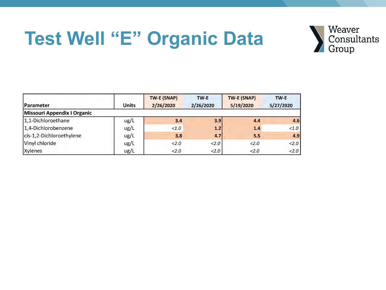#### **Test Well "E" Organic Data**



|                                    |              | <b>TW-E (SNAP)</b> | TW-E      | TW-E (SNAP) | TW-E      |
|------------------------------------|--------------|--------------------|-----------|-------------|-----------|
| Parameter                          | <b>Units</b> | 2/26/2020          | 2/26/2020 | 5/19/2020   | 5/27/2020 |
| <b>Missouri Appendix I Organic</b> |              |                    |           |             |           |
| 1,1-Dichloroethane                 | ug/L         | 3.4                | 3.9       | 4.4         | 4.6       |
| 1,4-Dichlorobenzene                | ug/L         | < 1.0              | 1.2       | 1.4         | < 1.0     |
| cis-1,2-Dichloroethylene           | ug/L         | 3.8                | 4.7       | 5.5         | 4.9       |
| Vinyl chloride                     | ug/L         | 2.0                | 2.0       | 2.0         | 2.0       |
| Xylenes                            | ug/L         | 2.0                | 2.0       | 2.0         | < 2.0     |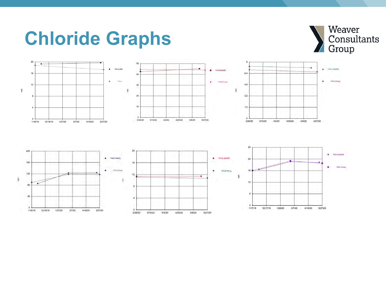#### **Chloride Graphs**









5/8/20

5/27/20

**B** TWIEDWIE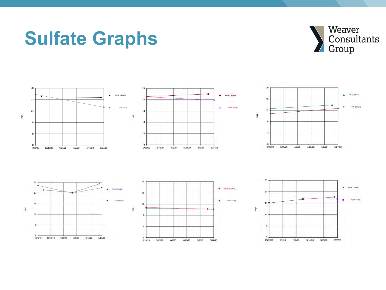#### **Sulfate Graphs**



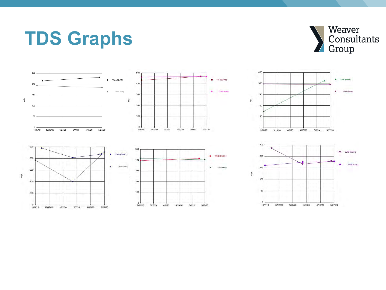#### **TDS Graphs**













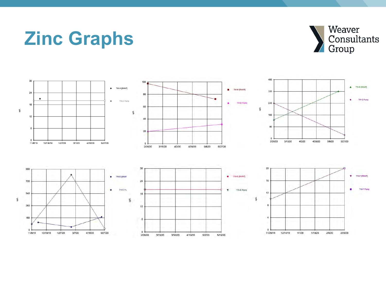#### **Zinc Graphs**



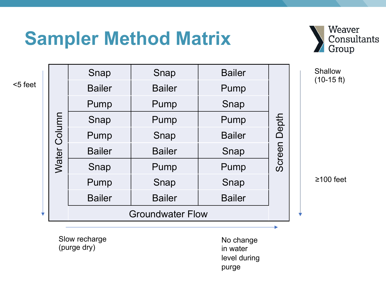#### **Sampler Method Matrix**



Snap | Snap | Bailer (10-15 ft) <5 feet Bailer | Bailer | Pump Pump | Pump | Snap **Water Column** Water Column Screen Depth Screen Depth Snap | Pump | Pump Pump | Snap | Bailer Bailer | Bailer | Snap Snap | Pump | Pump Pump | Snap | Snap Bailer | Bailer | Bailer Groundwater Flow

Shallow

≥100 feet

Slow recharge (purge dry)

No change in water level during purge

ь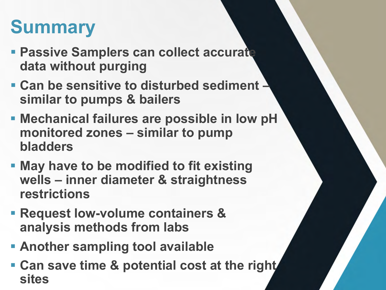# **Summary**

- Passive Samplers can collect accurate **data without purging**
- Can be sensitive to disturbed sediment **→ similar to pumps & bailers**
- § **Mechanical failures are possible in low pH monitored zones – similar to pump bladders**
- § **May have to be modified to fit existing wells – inner diameter & straightness restrictions**
- § **Request low-volume containers & analysis methods from labs**
- § **Another sampling tool available**
- § **Can save time & potential cost at the right sites**